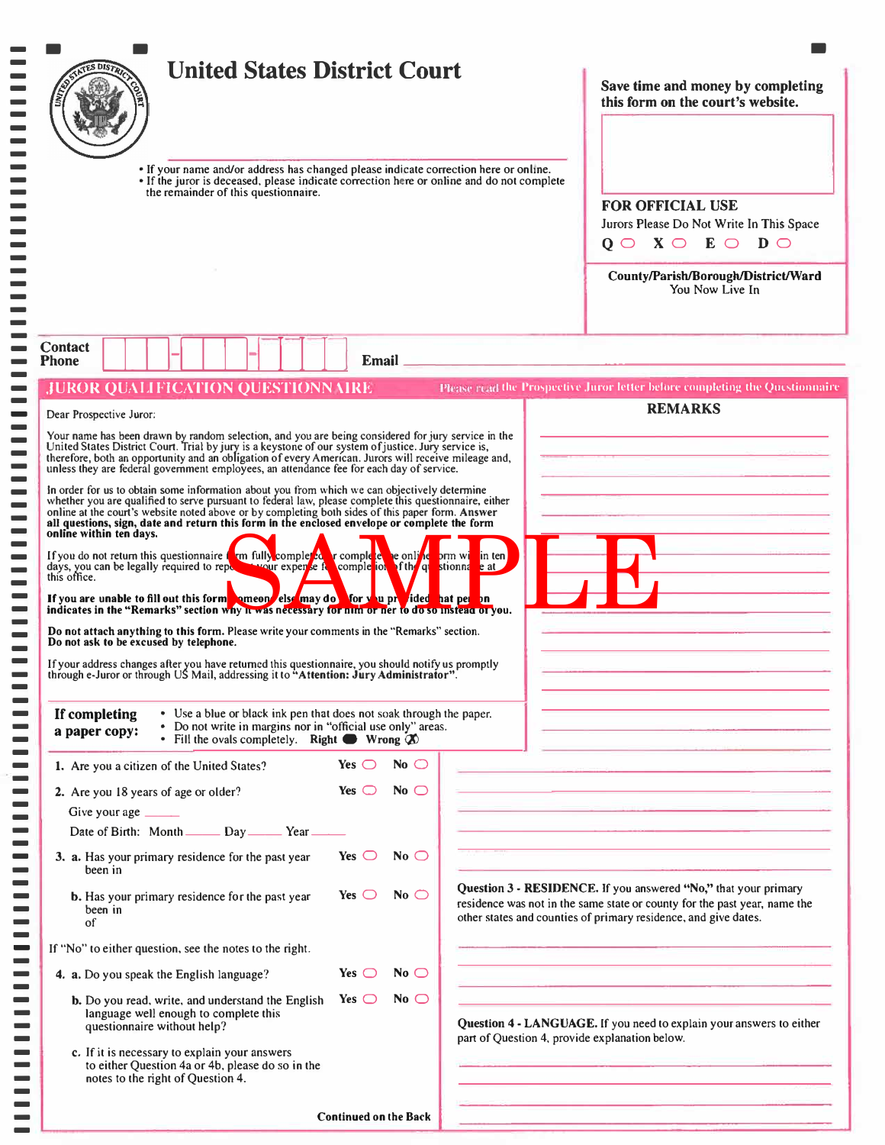|                                                                                                                                                                                                                                                                                                                                                                                                                                                                                                                                                                                                                                                                                                                                                                                                                |                                  | <b>United States District Court</b> |  | Save time and money by completing<br>this form on the court's website.                                                                                                                                                                                                                                                                            |
|----------------------------------------------------------------------------------------------------------------------------------------------------------------------------------------------------------------------------------------------------------------------------------------------------------------------------------------------------------------------------------------------------------------------------------------------------------------------------------------------------------------------------------------------------------------------------------------------------------------------------------------------------------------------------------------------------------------------------------------------------------------------------------------------------------------|----------------------------------|-------------------------------------|--|---------------------------------------------------------------------------------------------------------------------------------------------------------------------------------------------------------------------------------------------------------------------------------------------------------------------------------------------------|
| • If your name and/or address has changed please indicate correction here or online.<br>• If the juror is deceased, please indicate correction here or online and do not complete<br>the remainder of this questionnaire.                                                                                                                                                                                                                                                                                                                                                                                                                                                                                                                                                                                      |                                  |                                     |  | <b>FOR OFFICIAL USE</b><br>Jurors Please Do Not Write In This Space<br>$Q \cup X \cup E \cup D$                                                                                                                                                                                                                                                   |
|                                                                                                                                                                                                                                                                                                                                                                                                                                                                                                                                                                                                                                                                                                                                                                                                                |                                  |                                     |  | County/Parish/Borough/District/Ward<br>You Now Live In                                                                                                                                                                                                                                                                                            |
| <b>Contact</b><br><b>Phone</b>                                                                                                                                                                                                                                                                                                                                                                                                                                                                                                                                                                                                                                                                                                                                                                                 |                                  | Email _                             |  |                                                                                                                                                                                                                                                                                                                                                   |
| <b>JUROR QUALIFICATION QUESTIONN AIRE</b>                                                                                                                                                                                                                                                                                                                                                                                                                                                                                                                                                                                                                                                                                                                                                                      |                                  |                                     |  | Please read the Prospective Juror letter before completing the Questionnaire<br><b>REMARKS</b>                                                                                                                                                                                                                                                    |
| Your name has been drawn by random selection, and you are being considered for jury service in the United States District Court. Trial by jury is a keystone of our system of justice. Jury service is, therefore, both an opp<br>In order for us to obtain some information about you from which we can objectively determine<br>whether you are qualified to serve pursuant to federal law, please complete this questionnaire, either<br>online at the court's website noted above or by completing both sides of this paper form. Answer<br>all questions, sign, date and return this form in the enclosed envelope or complete the form<br>online within ten days.                                                                                                                                        |                                  |                                     |  |                                                                                                                                                                                                                                                                                                                                                   |
| • Use a blue or black ink pen that does not soak through the paper.<br>If completing<br>• Do not write in margins nor in "official use only" areas.<br>a paper copy:<br>• Fill the ovals completely. Right Wrong $\oslash$                                                                                                                                                                                                                                                                                                                                                                                                                                                                                                                                                                                     | Yes $\bigcirc$                   | No $\bigcirc$                       |  | the control of the control of the control of the control of the control of<br><u> 1980 - Andrea Stadt Britain, amerikansk politiker (</u><br>the contract of the contract of the contract of the contract of the contract of the contract of the contract of                                                                                      |
| 1. Are you a citizen of the United States?<br>2. Are you 18 years of age or older?                                                                                                                                                                                                                                                                                                                                                                                                                                                                                                                                                                                                                                                                                                                             | Yes $\bigcirc$                   | No $\bigcirc$                       |  | <u> 1989 - John Hallen, Amerikaans en beskriuw († 1958)</u>                                                                                                                                                                                                                                                                                       |
| Give your age _____                                                                                                                                                                                                                                                                                                                                                                                                                                                                                                                                                                                                                                                                                                                                                                                            |                                  |                                     |  |                                                                                                                                                                                                                                                                                                                                                   |
| Date of Birth: Month _______ Day ________ Year _                                                                                                                                                                                                                                                                                                                                                                                                                                                                                                                                                                                                                                                                                                                                                               |                                  |                                     |  | the contract of the property and the contract of the contract of the contract of the contract of the contract of<br>the control of the control of the control of the control of the control of the control of the control of the control of the control of the control of the control of the control of the control of the control of the control |
| 3. a. Has your primary residence for the past year<br>been in                                                                                                                                                                                                                                                                                                                                                                                                                                                                                                                                                                                                                                                                                                                                                  | Yes $\bigcirc$                   | No $\bigcirc$                       |  |                                                                                                                                                                                                                                                                                                                                                   |
| If you do not return this questionnaire from fully completed r completed required to my in ten days, you can be legally required to repetitively experience in completion. This are stated to repetitively a strong stated on<br>days, you can be legally required to repo<br>this office.<br>If you are unable to fill out this form someon else may do For you precided nat per in matter in<br>Do not attach anything to this form. Please write your comments in the "Remarks" section.<br>Do not ask to be excused by telephone.<br>If your address changes after you have returned this questionnaire, you should notify us promptly<br>through e-Juror or through US Mail, addressing it to "Attention: Jury Administrator".<br><b>b.</b> Has your primary residence for the past year<br>been in<br>of | Yes $\bigcirc$                   | No $\bigcirc$                       |  | Question 3 - RESIDENCE. If you answered "No," that your primary<br>residence was not in the same state or county for the past year, name the<br>other states and counties of primary residence, and give dates.                                                                                                                                   |
| If "No" to either question, see the notes to the right.                                                                                                                                                                                                                                                                                                                                                                                                                                                                                                                                                                                                                                                                                                                                                        |                                  |                                     |  | the contract of the contract of the contract of the contract of the contract of the contract of                                                                                                                                                                                                                                                   |
| 4. a. Do you speak the English language?<br>b. Do you read, write, and understand the English                                                                                                                                                                                                                                                                                                                                                                                                                                                                                                                                                                                                                                                                                                                  | Yes $\bigcirc$<br>Yes $\bigcirc$ | No $\bigcirc$<br>No $\bigcirc$      |  | <u> 1989 - John Harrison, mars et al provincia est anno 1982.</u><br>the company of the company of the company of the company of the company of the company of the company of the company of the company of the company of the company of the company of the company of the company of the company                                                |